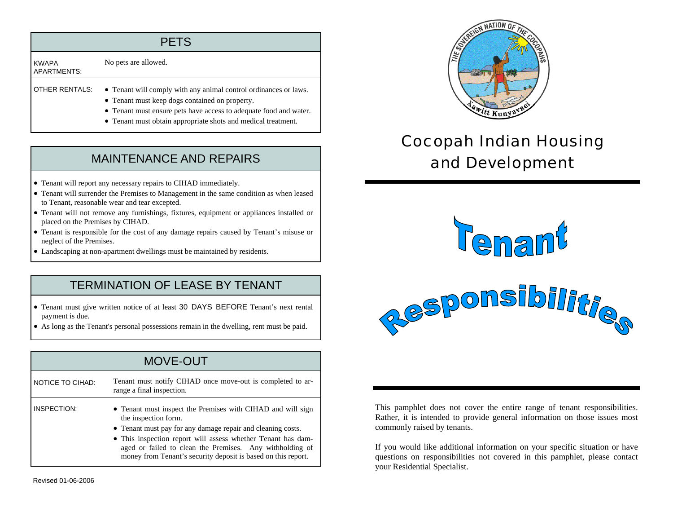| <b>PETS</b>                 |                                                                                                                                                                                                                                                          |  |
|-----------------------------|----------------------------------------------------------------------------------------------------------------------------------------------------------------------------------------------------------------------------------------------------------|--|
| <b>KWAPA</b><br>APARTMENTS: | No pets are allowed.                                                                                                                                                                                                                                     |  |
| <b>OTHER RENTALS:</b>       | • Tenant will comply with any animal control ordinances or laws.<br>• Tenant must keep dogs contained on property.<br>• Tenant must ensure pets have access to adequate food and water.<br>• Tenant must obtain appropriate shots and medical treatment. |  |

## MAINTENANCE AND REPAIRS

- Tenant will report any necessary repairs to CIHAD immediately.
- Tenant will surrender the Premises to Management in the same condition as when leased to Tenant, reasonable wear and tear excepted.
- Tenant will not remove any furnishings, fixtures, equipment or appliances installed or placed on the Premises by CIHAD.
- Tenant is responsible for the cost of any damage repairs caused by Tenant's misuse or neglect of the Premises.
- Landscaping at non-apartment dwellings must be maintained by residents.

### TERMINATION OF LEASE BY TENANT

- Tenant must give written notice of at least 30 DAYS BEFORE Tenant's next rental payment is due.
- As long as the Tenant's personal possessions remain in the dwelling, rent must be paid.

#### MOVE-OUTNOTICE TO CIHAD: Tenant must notify CIHAD once move-out is completed to arrange a final inspection. INSPECTION: • Tenant must inspect the Premises with CIHAD and will sign the inspection form. • Tenant must pay for any damage repair and cleaning costs. • This inspection report will assess whether Tenant has damaged or failed to clean the Premises. Any withholding of money from Tenant's security deposit is based on this report.



# Cocopah Indian Housing and Development





This pamphlet does not cover the entire range of tenant responsibilities. Rather, it is intended to provide general information on those issues most commonly raised by tenants.

If you would like additional information on your specific situation or have questions on responsibilities not covered in this pamphlet, please contact your Residential Specialist.